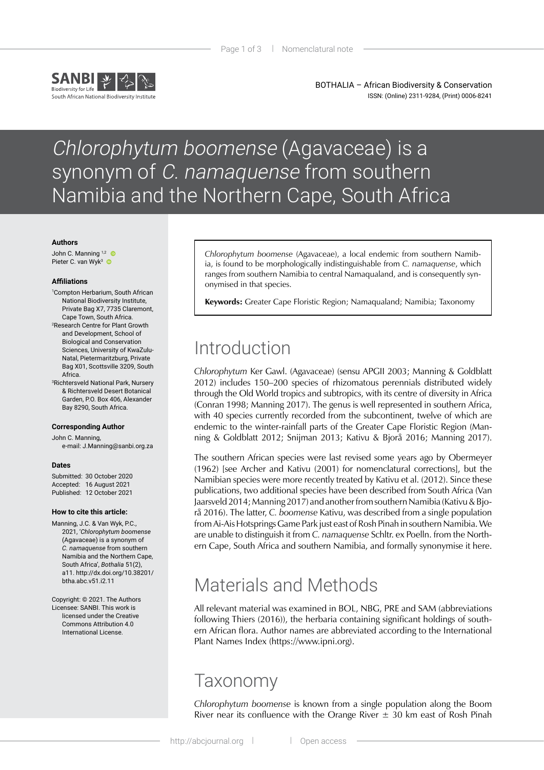

BOTHALIA – African Biodiversity & Conservation ISSN: (Online) 2311-9284, (Print) 0006-8241

# Chlorophytum boomense (Agavaceae) is a synonym of C. namaquense from southern Namibia and the Northern Cape, South Africa

#### **Authors**

John C. Manning 1,2 Pieter C. van Wyk<sup>3</sup>

#### **Affiliations**

- 1 Compton Herbarium, South African National Biodiversity Institute, Private Bag X7, 7735 Claremont, Cape Town, South Africa. 2 Research Centre for Plant Growth
- and Development, School of Biological and Conservation Sciences, University of KwaZulu-Natal, Pietermaritzburg, Private Bag X01, Scottsville 3209, South Africa.
- 3 Richtersveld National Park, Nursery & Richtersveld Desert Botanical Garden, P.O. Box 406, Alexander Bay 8290, South Africa.

### **Corresponding Author**

John C. Manning, e-mail: J.Manning@sanbi.org.za

#### **Dates**

Submitted: 30 October 2020 Accepted: 16 August 2021 Published: 12 October 2021

#### **How to cite this article:**

- Manning, J.C. & Van Wyk, P.C., 2021, '*Chlorophytum boomense* (Agavaceae) is a synonym of *C. namaquense* from southern Namibia and the Northern Cape, South Africa', *Bothalia* 51(2), a11. [http://dx.doi.org/10.38201/](http://dx.doi.org/10.38201/btha.abc.v51.i2) [btha.abc.v51.i2.](http://dx.doi.org/10.38201/btha.abc.v51.i2)11
- Copyright: © 2021. The Authors Licensee: SANBI. This work is licensed under the Creative Commons Attribution 4.0 International License.

*Chlorophytum boomense* (Agavaceae), a local endemic from southern Namibia, is found to be morphologically indistinguishable from *C. namaquense*, which ranges from southern Namibia to central Namaqualand, and is consequently synonymised in that species.

**Keywords:** Greater Cape Floristic Region; Namaqualand; Namibia; Taxonomy

## Introduction

*Chlorophytum* Ker Gawl. (Agavaceae) (sensu APGII 2003; Manning & Goldblatt 2012) includes 150–200 species of rhizomatous perennials distributed widely through the Old World tropics and subtropics, with its centre of diversity in Africa (Conran 1998; Manning 2017). The genus is well represented in southern Africa, with 40 species currently recorded from the subcontinent, twelve of which are endemic to the winter-rainfall parts of the Greater Cape Floristic Region (Manning & Goldblatt 2012; Snijman 2013; Kativu & Bjorå 2016; Manning 2017).

The southern African species were last revised some years ago by Obermeyer (1962) [see Archer and Kativu (2001) for nomenclatural corrections], but the Namibian species were more recently treated by Kativu et al. (2012). Since these publications, two additional species have been described from South Africa (Van Jaarsveld 2014; Manning 2017) and another from southern Namibia (Kativu & Bjorå 2016). The latter, *C. boomense* Kativu, was described from a single population from Ai-Ais Hotsprings Game Park just east of Rosh Pinah in southern Namibia. We are unable to distinguish it from *C. namaquense* Schltr. ex Poelln. from the Northern Cape, South Africa and southern Namibia, and formally synonymise it here.

## Materials and Methods

All relevant material was examined in BOL, NBG, PRE and SAM (abbreviations following Thiers (2016)), the herbaria containing significant holdings of southern African flora. Author names are abbreviated according to the International Plant Names Index (https://www.ipni.org).

### Taxonomy

*Chlorophytum boomense* is known from a single population along the Boom River near its confluence with the Orange River  $\pm$  30 km east of Rosh Pinah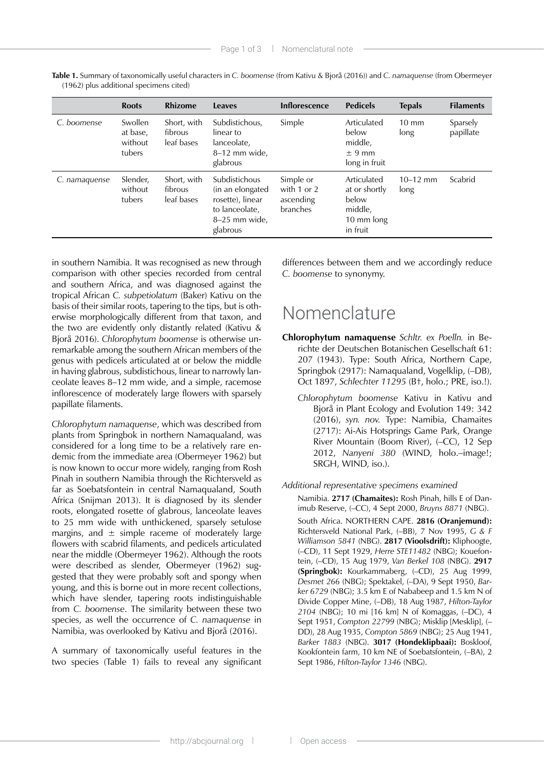|               | <b>Roots</b>                             | <b>Rhizome</b>                       | <b>Leaves</b>                                                                                        | <b>Inflorescence</b>                                  | <b>Pedicels</b>                                                            | <b>Tepals</b>           | <b>Filaments</b>      |
|---------------|------------------------------------------|--------------------------------------|------------------------------------------------------------------------------------------------------|-------------------------------------------------------|----------------------------------------------------------------------------|-------------------------|-----------------------|
| C. boomense   | Swollen<br>at base,<br>without<br>tubers | Short, with<br>fibrous<br>leaf bases | Subdistichous,<br>linear to<br>lanceolate,<br>$8-12$ mm wide,<br>glabrous                            | Simple                                                | Articulated<br>below<br>middle,<br>$± 9$ mm<br>long in fruit               | $10 \text{ mm}$<br>long | Sparsely<br>papillate |
| C. namaquense | Slender,<br>without<br>tubers            | Short, with<br>fibrous<br>leaf bases | Subdistichous<br>(in an elongated<br>rosette), linear<br>to lanceolate,<br>8-25 mm wide,<br>glabrous | Simple or<br>with $1$ or $2$<br>ascending<br>branches | Articulated<br>at or shortly<br>below<br>middle,<br>10 mm long<br>in fruit | $10 - 12$ mm<br>long    | Scabrid               |

**Table 1.** Summary of taxonomically useful characters in *C. boomense* (from Kativu & Bjorå (2016)) and *C. namaquense* (from Obermeyer (1962) plus additional specimens cited)

in southern Namibia. It was recognised as new through comparison with other species recorded from central and southern Africa, and was diagnosed against the tropical African *C. subpetiolatum* (Baker) Kativu on the basis of their similar roots, tapering to the tips, but is otherwise morphologically different from that taxon, and the two are evidently only distantly related (Kativu & Bjorå 2016). *Chlorophytum boomense* is otherwise unremarkable among the southern African members of the genus with pedicels articulated at or below the middle in having glabrous, subdistichous, linear to narrowly lanceolate leaves 8–12 mm wide, and a simple, racemose inflorescence of moderately large flowers with sparsely papillate filaments.

*Chlorophytum namaquense*, which was described from plants from Springbok in northern Namaqualand, was considered for a long time to be a relatively rare endemic from the immediate area (Obermeyer 1962) but is now known to occur more widely, ranging from Rosh Pinah in southern Namibia through the Richtersveld as far as Soebatsfontein in central Namaqualand, South Africa (Snijman 2013). It is diagnosed by its slender roots, elongated rosette of glabrous, lanceolate leaves to 25 mm wide with unthickened, sparsely setulose margins, and  $\pm$  simple raceme of moderately large flowers with scabrid filaments, and pedicels articulated near the middle (Obermeyer 1962). Although the roots were described as slender, Obermeyer (1962) suggested that they were probably soft and spongy when young, and this is borne out in more recent collections, which have slender, tapering roots indistinguishable from *C. boomense*. The similarity between these two species, as well the occurrence of *C. namaquense* in Namibia, was overlooked by Kativu and Bjorå (2016).

A summary of taxonomically useful features in the two species (Table 1) fails to reveal any significant differences between them and we accordingly reduce *C. boomense* to synonymy.

### Nomenclature

- **Chlorophytum namaquense** *Schltr. ex Poelln.* in Berichte der Deutschen Botanischen Gesellschaft 61: 207 (1943). Type: South Africa, Northern Cape, Springbok (2917): Namaqualand, Vogelklip, (–DB), Oct 1897, *Schlechter 11295* (B†, holo.; PRE, iso.!).
	- *Chlorophytum boomense* Kativu in Kativu and Bjorå in Plant Ecology and Evolution 149: 342 (2016), *syn. nov.* Type: Namibia, Chamaites (2717): Ai-Ais Hotsprings Game Park, Orange River Mountain (Boom River), (–CC), 12 Sep 2012, *Nanyeni 380* (WIND, holo.–image!; SRGH, WIND, iso.).

### *Additional representative specimens examined*

Namibia. **2717 (Chamaites):** Rosh Pinah, hills E of Danimub Reserve, (–CC), 4 Sept 2000, *Bruyns 8871* (NBG).

South Africa. NORTHERN CAPE. **2816 (Oranjemund):** Richtersveld National Park, (–BB), 7 Nov 1995, *G & F Williamson 5841* (NBG). **2817 (Vioolsdrift):** Kliphoogte, (–CD), 11 Sept 1929, *Herre STE11482* (NBG); Kouefontein, (–CD), 15 Aug 1979, *Van Berkel 108* (NBG). **2917 (Springbok):** Kourkammaberg, (–CD), 25 Aug 1999, *Desmet 266* (NBG); Spektakel, (–DA), 9 Sept 1950, *Barker 6729* (NBG); 3.5 km E of Nababeep and 1.5 km N of Divide Copper Mine, (–DB), 18 Aug 1987, *Hilton-Taylor 2104* (NBG); 10 mi [16 km] N of Komaggas, (–DC), 4 Sept 1951, *Compton 22799* (NBG); Misklip [Mesklip], (– DD), 28 Aug 1935, *Compton 5869* (NBG); 25 Aug 1941, *Barker 1883* (NBG). **3017 (Hondeklipbaai):** Boskloof, Kookfontein farm, 10 km NE of Soebatsfontein, (–BA), 2 Sept 1986, *Hilton-Taylor 1346* (NBG).